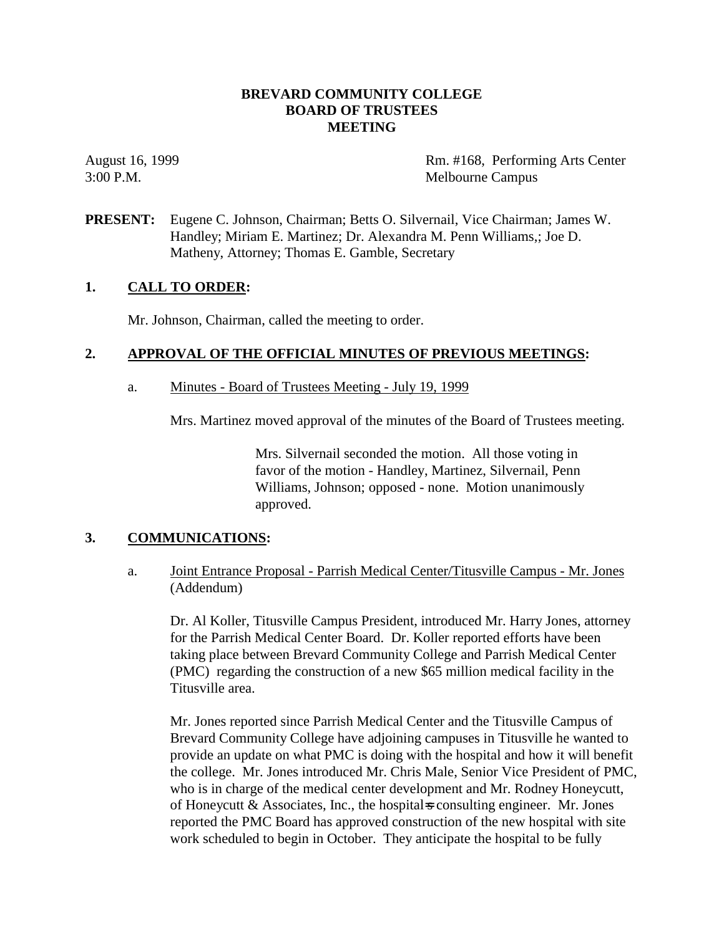# **BREVARD COMMUNITY COLLEGE BOARD OF TRUSTEES MEETING**

August 16, 1999 **Rm.** #168, Performing Arts Center 3:00 P.M. Melbourne Campus

**PRESENT:** Eugene C. Johnson, Chairman; Betts O. Silvernail, Vice Chairman; James W. Handley; Miriam E. Martinez; Dr. Alexandra M. Penn Williams,; Joe D. Matheny, Attorney; Thomas E. Gamble, Secretary

### **1. CALL TO ORDER:**

Mr. Johnson, Chairman, called the meeting to order.

### **2. APPROVAL OF THE OFFICIAL MINUTES OF PREVIOUS MEETINGS:**

a. Minutes - Board of Trustees Meeting - July 19, 1999

Mrs. Martinez moved approval of the minutes of the Board of Trustees meeting.

Mrs. Silvernail seconded the motion. All those voting in favor of the motion - Handley, Martinez, Silvernail, Penn Williams, Johnson; opposed - none. Motion unanimously approved.

### **3. COMMUNICATIONS:**

a. Joint Entrance Proposal - Parrish Medical Center/Titusville Campus - Mr. Jones (Addendum)

Dr. Al Koller, Titusville Campus President, introduced Mr. Harry Jones, attorney for the Parrish Medical Center Board. Dr. Koller reported efforts have been taking place between Brevard Community College and Parrish Medical Center (PMC) regarding the construction of a new \$65 million medical facility in the Titusville area.

Mr. Jones reported since Parrish Medical Center and the Titusville Campus of Brevard Community College have adjoining campuses in Titusville he wanted to provide an update on what PMC is doing with the hospital and how it will benefit the college. Mr. Jones introduced Mr. Chris Male, Senior Vice President of PMC, who is in charge of the medical center development and Mr. Rodney Honeycutt, of Honeycutt & Associates, Inc., the hospital-s consulting engineer. Mr. Jones reported the PMC Board has approved construction of the new hospital with site work scheduled to begin in October. They anticipate the hospital to be fully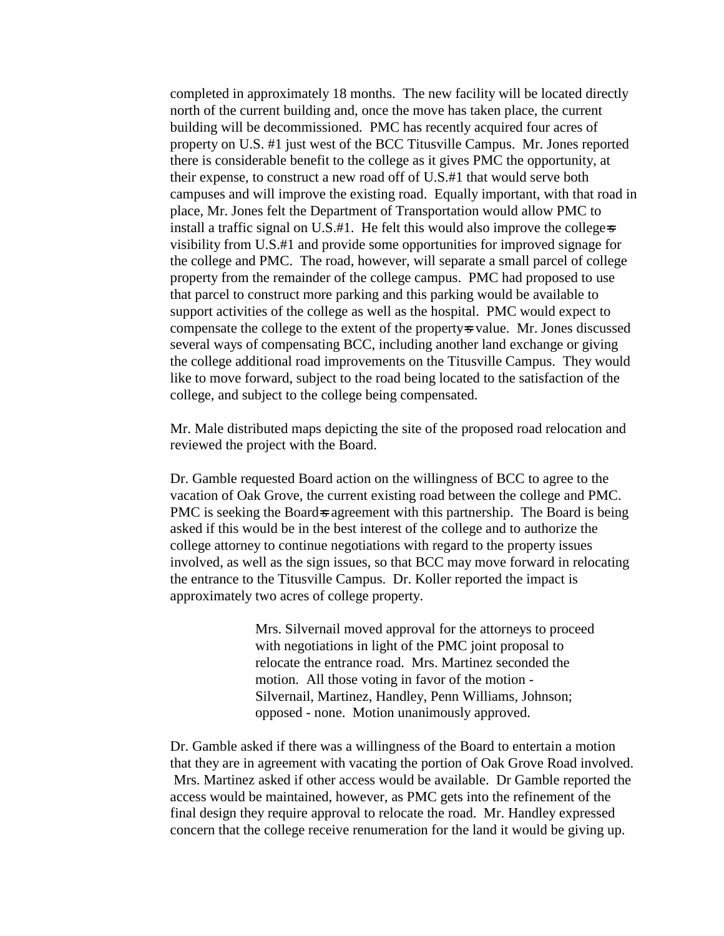completed in approximately 18 months. The new facility will be located directly north of the current building and, once the move has taken place, the current building will be decommissioned. PMC has recently acquired four acres of property on U.S. #1 just west of the BCC Titusville Campus. Mr. Jones reported there is considerable benefit to the college as it gives PMC the opportunity, at their expense, to construct a new road off of U.S.#1 that would serve both campuses and will improve the existing road. Equally important, with that road in place, Mr. Jones felt the Department of Transportation would allow PMC to install a traffic signal on  $U.S.$ #1. He felt this would also improve the college-s visibility from U.S.#1 and provide some opportunities for improved signage for the college and PMC. The road, however, will separate a small parcel of college property from the remainder of the college campus. PMC had proposed to use that parcel to construct more parking and this parking would be available to support activities of the college as well as the hospital. PMC would expect to compensate the college to the extent of the property-s value. Mr. Jones discussed several ways of compensating BCC, including another land exchange or giving the college additional road improvements on the Titusville Campus. They would like to move forward, subject to the road being located to the satisfaction of the college, and subject to the college being compensated.

Mr. Male distributed maps depicting the site of the proposed road relocation and reviewed the project with the Board.

Dr. Gamble requested Board action on the willingness of BCC to agree to the vacation of Oak Grove, the current existing road between the college and PMC. PMC is seeking the Board-s agreement with this partnership. The Board is being asked if this would be in the best interest of the college and to authorize the college attorney to continue negotiations with regard to the property issues involved, as well as the sign issues, so that BCC may move forward in relocating the entrance to the Titusville Campus. Dr. Koller reported the impact is approximately two acres of college property.

> Mrs. Silvernail moved approval for the attorneys to proceed with negotiations in light of the PMC joint proposal to relocate the entrance road. Mrs. Martinez seconded the motion. All those voting in favor of the motion - Silvernail, Martinez, Handley, Penn Williams, Johnson; opposed - none. Motion unanimously approved.

Dr. Gamble asked if there was a willingness of the Board to entertain a motion that they are in agreement with vacating the portion of Oak Grove Road involved. Mrs. Martinez asked if other access would be available. Dr Gamble reported the access would be maintained, however, as PMC gets into the refinement of the final design they require approval to relocate the road. Mr. Handley expressed concern that the college receive renumeration for the land it would be giving up.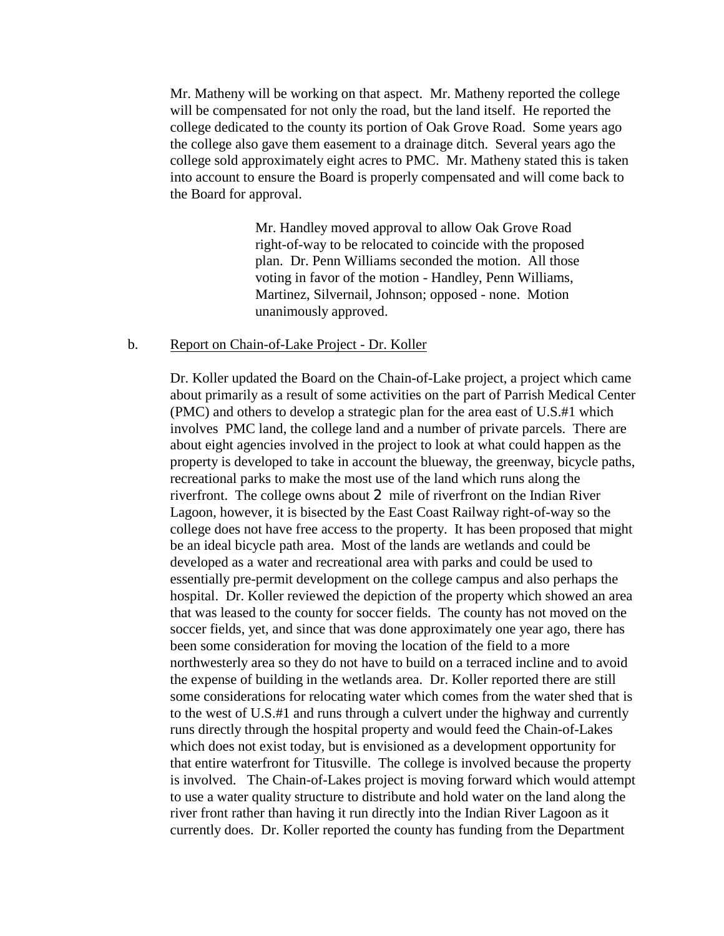Mr. Matheny will be working on that aspect. Mr. Matheny reported the college will be compensated for not only the road, but the land itself. He reported the college dedicated to the county its portion of Oak Grove Road. Some years ago the college also gave them easement to a drainage ditch. Several years ago the college sold approximately eight acres to PMC. Mr. Matheny stated this is taken into account to ensure the Board is properly compensated and will come back to the Board for approval.

> Mr. Handley moved approval to allow Oak Grove Road right-of-way to be relocated to coincide with the proposed plan. Dr. Penn Williams seconded the motion. All those voting in favor of the motion - Handley, Penn Williams, Martinez, Silvernail, Johnson; opposed - none. Motion unanimously approved.

#### b. Report on Chain-of-Lake Project - Dr. Koller

Dr. Koller updated the Board on the Chain-of-Lake project, a project which came about primarily as a result of some activities on the part of Parrish Medical Center (PMC) and others to develop a strategic plan for the area east of U.S.#1 which involves PMC land, the college land and a number of private parcels. There are about eight agencies involved in the project to look at what could happen as the property is developed to take in account the blueway, the greenway, bicycle paths, recreational parks to make the most use of the land which runs along the riverfront. The college owns about 2 mile of riverfront on the Indian River Lagoon, however, it is bisected by the East Coast Railway right-of-way so the college does not have free access to the property. It has been proposed that might be an ideal bicycle path area. Most of the lands are wetlands and could be developed as a water and recreational area with parks and could be used to essentially pre-permit development on the college campus and also perhaps the hospital. Dr. Koller reviewed the depiction of the property which showed an area that was leased to the county for soccer fields. The county has not moved on the soccer fields, yet, and since that was done approximately one year ago, there has been some consideration for moving the location of the field to a more northwesterly area so they do not have to build on a terraced incline and to avoid the expense of building in the wetlands area. Dr. Koller reported there are still some considerations for relocating water which comes from the water shed that is to the west of U.S.#1 and runs through a culvert under the highway and currently runs directly through the hospital property and would feed the Chain-of-Lakes which does not exist today, but is envisioned as a development opportunity for that entire waterfront for Titusville. The college is involved because the property is involved. The Chain-of-Lakes project is moving forward which would attempt to use a water quality structure to distribute and hold water on the land along the river front rather than having it run directly into the Indian River Lagoon as it currently does. Dr. Koller reported the county has funding from the Department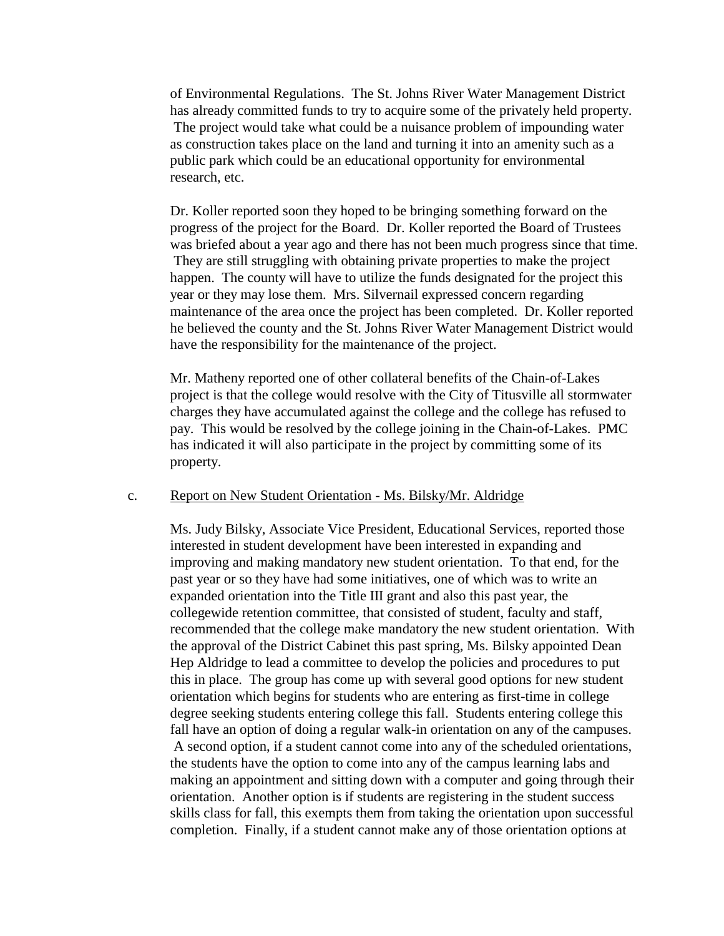of Environmental Regulations. The St. Johns River Water Management District has already committed funds to try to acquire some of the privately held property. The project would take what could be a nuisance problem of impounding water as construction takes place on the land and turning it into an amenity such as a public park which could be an educational opportunity for environmental research, etc.

Dr. Koller reported soon they hoped to be bringing something forward on the progress of the project for the Board. Dr. Koller reported the Board of Trustees was briefed about a year ago and there has not been much progress since that time. They are still struggling with obtaining private properties to make the project happen. The county will have to utilize the funds designated for the project this year or they may lose them. Mrs. Silvernail expressed concern regarding maintenance of the area once the project has been completed. Dr. Koller reported he believed the county and the St. Johns River Water Management District would have the responsibility for the maintenance of the project.

Mr. Matheny reported one of other collateral benefits of the Chain-of-Lakes project is that the college would resolve with the City of Titusville all stormwater charges they have accumulated against the college and the college has refused to pay. This would be resolved by the college joining in the Chain-of-Lakes. PMC has indicated it will also participate in the project by committing some of its property.

#### c. Report on New Student Orientation - Ms. Bilsky/Mr. Aldridge

Ms. Judy Bilsky, Associate Vice President, Educational Services, reported those interested in student development have been interested in expanding and improving and making mandatory new student orientation. To that end, for the past year or so they have had some initiatives, one of which was to write an expanded orientation into the Title III grant and also this past year, the collegewide retention committee, that consisted of student, faculty and staff, recommended that the college make mandatory the new student orientation. With the approval of the District Cabinet this past spring, Ms. Bilsky appointed Dean Hep Aldridge to lead a committee to develop the policies and procedures to put this in place. The group has come up with several good options for new student orientation which begins for students who are entering as first-time in college degree seeking students entering college this fall. Students entering college this fall have an option of doing a regular walk-in orientation on any of the campuses. A second option, if a student cannot come into any of the scheduled orientations, the students have the option to come into any of the campus learning labs and making an appointment and sitting down with a computer and going through their orientation. Another option is if students are registering in the student success skills class for fall, this exempts them from taking the orientation upon successful completion. Finally, if a student cannot make any of those orientation options at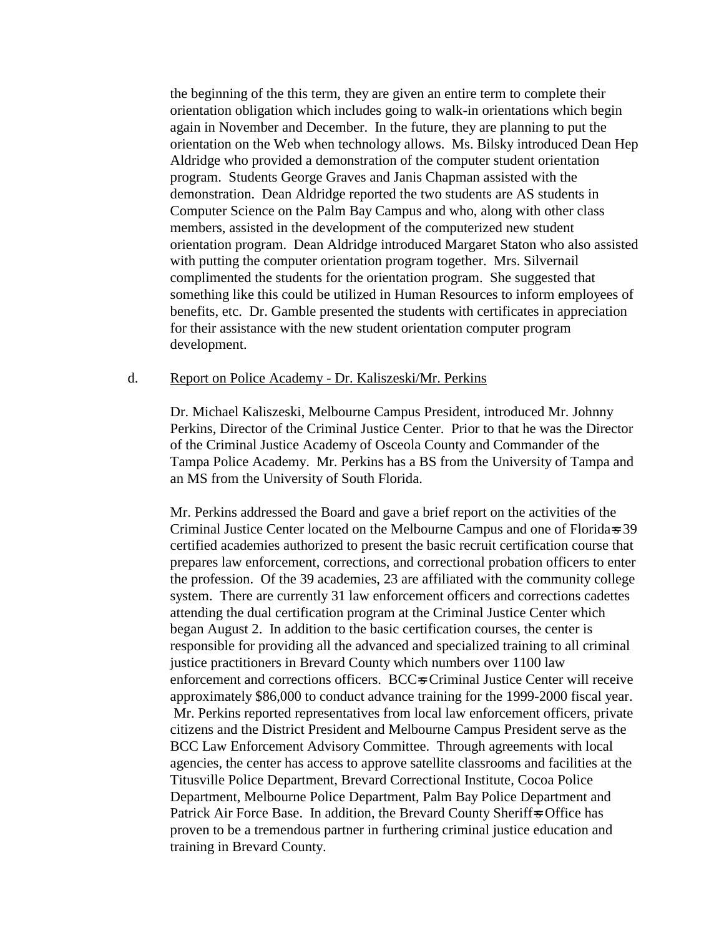the beginning of the this term, they are given an entire term to complete their orientation obligation which includes going to walk-in orientations which begin again in November and December. In the future, they are planning to put the orientation on the Web when technology allows. Ms. Bilsky introduced Dean Hep Aldridge who provided a demonstration of the computer student orientation program. Students George Graves and Janis Chapman assisted with the demonstration. Dean Aldridge reported the two students are AS students in Computer Science on the Palm Bay Campus and who, along with other class members, assisted in the development of the computerized new student orientation program. Dean Aldridge introduced Margaret Staton who also assisted with putting the computer orientation program together. Mrs. Silvernail complimented the students for the orientation program. She suggested that something like this could be utilized in Human Resources to inform employees of benefits, etc. Dr. Gamble presented the students with certificates in appreciation for their assistance with the new student orientation computer program development.

#### d. Report on Police Academy - Dr. Kaliszeski/Mr. Perkins

Dr. Michael Kaliszeski, Melbourne Campus President, introduced Mr. Johnny Perkins, Director of the Criminal Justice Center. Prior to that he was the Director of the Criminal Justice Academy of Osceola County and Commander of the Tampa Police Academy. Mr. Perkins has a BS from the University of Tampa and an MS from the University of South Florida.

Mr. Perkins addressed the Board and gave a brief report on the activities of the Criminal Justice Center located on the Melbourne Campus and one of Florida=s 39 certified academies authorized to present the basic recruit certification course that prepares law enforcement, corrections, and correctional probation officers to enter the profession. Of the 39 academies, 23 are affiliated with the community college system. There are currently 31 law enforcement officers and corrections cadettes attending the dual certification program at the Criminal Justice Center which began August 2. In addition to the basic certification courses, the center is responsible for providing all the advanced and specialized training to all criminal justice practitioners in Brevard County which numbers over 1100 law enforcement and corrections officers. BCC=s Criminal Justice Center will receive approximately \$86,000 to conduct advance training for the 1999-2000 fiscal year. Mr. Perkins reported representatives from local law enforcement officers, private citizens and the District President and Melbourne Campus President serve as the BCC Law Enforcement Advisory Committee. Through agreements with local agencies, the center has access to approve satellite classrooms and facilities at the Titusville Police Department, Brevard Correctional Institute, Cocoa Police Department, Melbourne Police Department, Palm Bay Police Department and Patrick Air Force Base. In addition, the Brevard County Sheriff-s Office has proven to be a tremendous partner in furthering criminal justice education and training in Brevard County.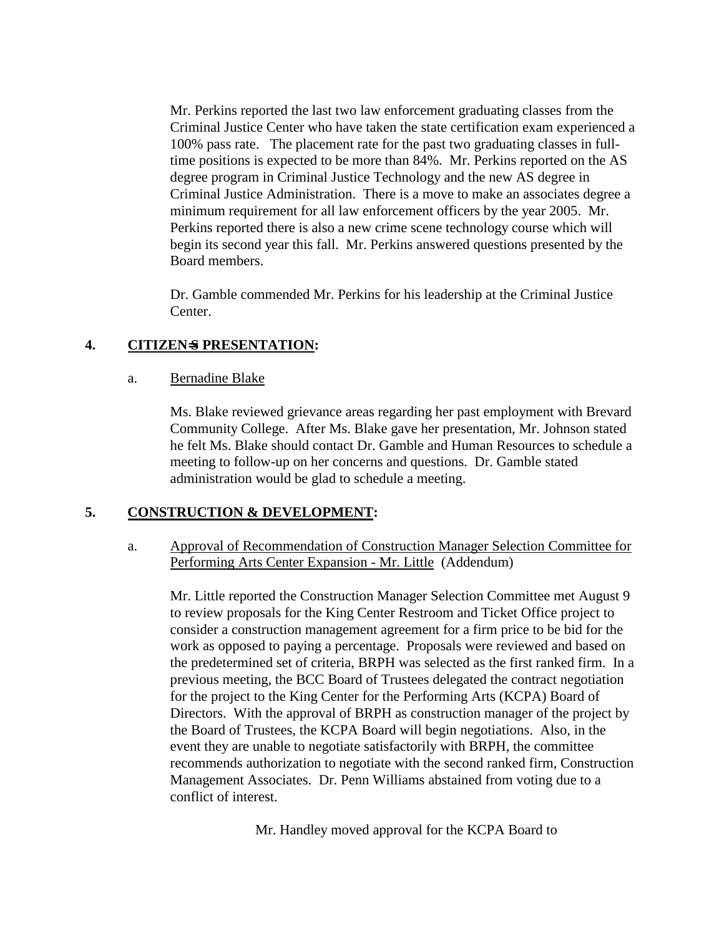Mr. Perkins reported the last two law enforcement graduating classes from the Criminal Justice Center who have taken the state certification exam experienced a 100% pass rate. The placement rate for the past two graduating classes in fulltime positions is expected to be more than 84%. Mr. Perkins reported on the AS degree program in Criminal Justice Technology and the new AS degree in Criminal Justice Administration. There is a move to make an associates degree a minimum requirement for all law enforcement officers by the year 2005. Mr. Perkins reported there is also a new crime scene technology course which will begin its second year this fall. Mr. Perkins answered questions presented by the Board members.

Dr. Gamble commended Mr. Perkins for his leadership at the Criminal Justice Center.

# **4. CITIZEN**=**S PRESENTATION:**

### a. Bernadine Blake

Ms. Blake reviewed grievance areas regarding her past employment with Brevard Community College. After Ms. Blake gave her presentation, Mr. Johnson stated he felt Ms. Blake should contact Dr. Gamble and Human Resources to schedule a meeting to follow-up on her concerns and questions. Dr. Gamble stated administration would be glad to schedule a meeting.

### **5. CONSTRUCTION & DEVELOPMENT:**

### a. Approval of Recommendation of Construction Manager Selection Committee for Performing Arts Center Expansion - Mr. Little (Addendum)

Mr. Little reported the Construction Manager Selection Committee met August 9 to review proposals for the King Center Restroom and Ticket Office project to consider a construction management agreement for a firm price to be bid for the work as opposed to paying a percentage. Proposals were reviewed and based on the predetermined set of criteria, BRPH was selected as the first ranked firm. In a previous meeting, the BCC Board of Trustees delegated the contract negotiation for the project to the King Center for the Performing Arts (KCPA) Board of Directors. With the approval of BRPH as construction manager of the project by the Board of Trustees, the KCPA Board will begin negotiations. Also, in the event they are unable to negotiate satisfactorily with BRPH, the committee recommends authorization to negotiate with the second ranked firm, Construction Management Associates. Dr. Penn Williams abstained from voting due to a conflict of interest.

Mr. Handley moved approval for the KCPA Board to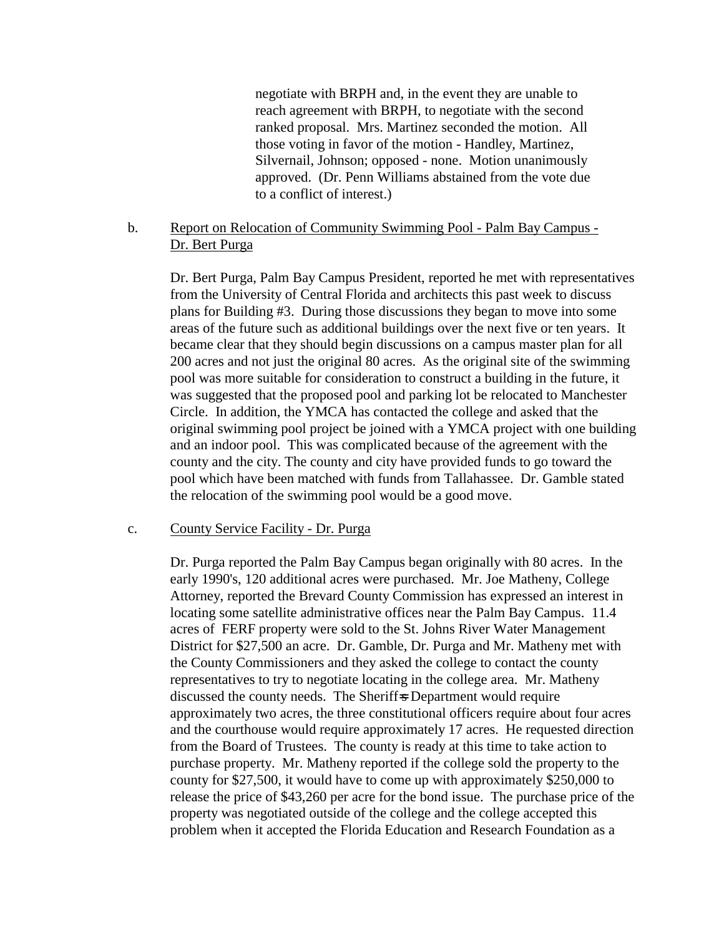negotiate with BRPH and, in the event they are unable to reach agreement with BRPH, to negotiate with the second ranked proposal. Mrs. Martinez seconded the motion. All those voting in favor of the motion - Handley, Martinez, Silvernail, Johnson; opposed - none. Motion unanimously approved. (Dr. Penn Williams abstained from the vote due to a conflict of interest.)

# b. Report on Relocation of Community Swimming Pool - Palm Bay Campus - Dr. Bert Purga

Dr. Bert Purga, Palm Bay Campus President, reported he met with representatives from the University of Central Florida and architects this past week to discuss plans for Building #3. During those discussions they began to move into some areas of the future such as additional buildings over the next five or ten years. It became clear that they should begin discussions on a campus master plan for all 200 acres and not just the original 80 acres. As the original site of the swimming pool was more suitable for consideration to construct a building in the future, it was suggested that the proposed pool and parking lot be relocated to Manchester Circle. In addition, the YMCA has contacted the college and asked that the original swimming pool project be joined with a YMCA project with one building and an indoor pool. This was complicated because of the agreement with the county and the city. The county and city have provided funds to go toward the pool which have been matched with funds from Tallahassee. Dr. Gamble stated the relocation of the swimming pool would be a good move.

### c. County Service Facility - Dr. Purga

Dr. Purga reported the Palm Bay Campus began originally with 80 acres. In the early 1990's, 120 additional acres were purchased. Mr. Joe Matheny, College Attorney, reported the Brevard County Commission has expressed an interest in locating some satellite administrative offices near the Palm Bay Campus. 11.4 acres of FERF property were sold to the St. Johns River Water Management District for \$27,500 an acre. Dr. Gamble, Dr. Purga and Mr. Matheny met with the County Commissioners and they asked the college to contact the county representatives to try to negotiate locating in the college area. Mr. Matheny discussed the county needs. The Sheriff-s Department would require approximately two acres, the three constitutional officers require about four acres and the courthouse would require approximately 17 acres. He requested direction from the Board of Trustees. The county is ready at this time to take action to purchase property. Mr. Matheny reported if the college sold the property to the county for \$27,500, it would have to come up with approximately \$250,000 to release the price of \$43,260 per acre for the bond issue. The purchase price of the property was negotiated outside of the college and the college accepted this problem when it accepted the Florida Education and Research Foundation as a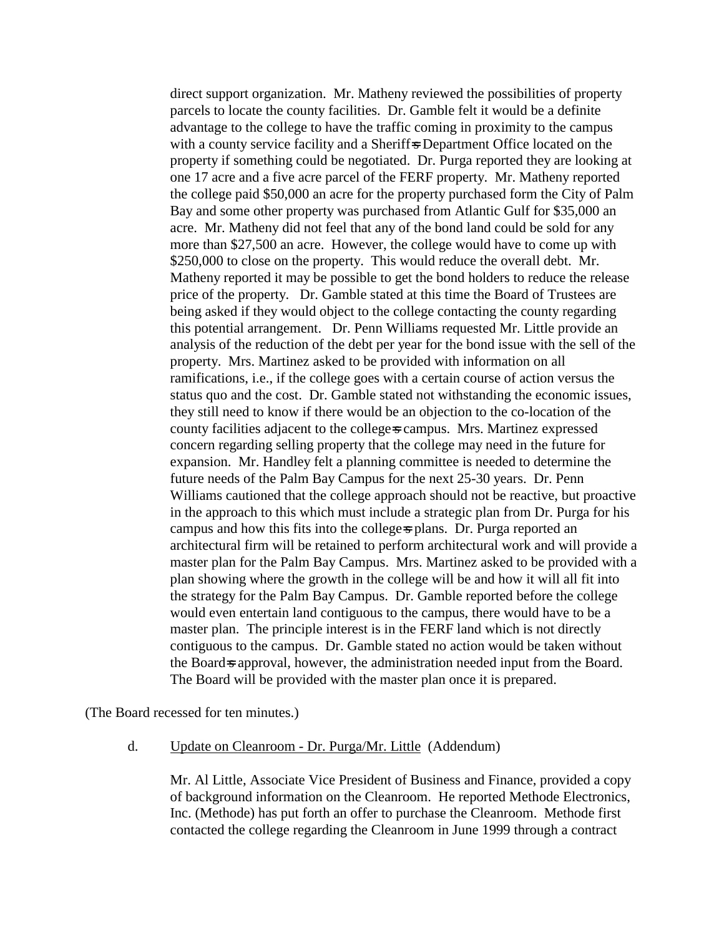direct support organization. Mr. Matheny reviewed the possibilities of property parcels to locate the county facilities. Dr. Gamble felt it would be a definite advantage to the college to have the traffic coming in proximity to the campus with a county service facility and a Sheriff-s Department Office located on the property if something could be negotiated. Dr. Purga reported they are looking at one 17 acre and a five acre parcel of the FERF property. Mr. Matheny reported the college paid \$50,000 an acre for the property purchased form the City of Palm Bay and some other property was purchased from Atlantic Gulf for \$35,000 an acre. Mr. Matheny did not feel that any of the bond land could be sold for any more than \$27,500 an acre. However, the college would have to come up with \$250,000 to close on the property. This would reduce the overall debt. Mr. Matheny reported it may be possible to get the bond holders to reduce the release price of the property. Dr. Gamble stated at this time the Board of Trustees are being asked if they would object to the college contacting the county regarding this potential arrangement. Dr. Penn Williams requested Mr. Little provide an analysis of the reduction of the debt per year for the bond issue with the sell of the property. Mrs. Martinez asked to be provided with information on all ramifications, i.e., if the college goes with a certain course of action versus the status quo and the cost. Dr. Gamble stated not withstanding the economic issues, they still need to know if there would be an objection to the co-location of the county facilities adjacent to the college-s campus. Mrs. Martinez expressed concern regarding selling property that the college may need in the future for expansion. Mr. Handley felt a planning committee is needed to determine the future needs of the Palm Bay Campus for the next 25-30 years. Dr. Penn Williams cautioned that the college approach should not be reactive, but proactive in the approach to this which must include a strategic plan from Dr. Purga for his campus and how this fits into the college-s plans. Dr. Purga reported an architectural firm will be retained to perform architectural work and will provide a master plan for the Palm Bay Campus. Mrs. Martinez asked to be provided with a plan showing where the growth in the college will be and how it will all fit into the strategy for the Palm Bay Campus. Dr. Gamble reported before the college would even entertain land contiguous to the campus, there would have to be a master plan. The principle interest is in the FERF land which is not directly contiguous to the campus. Dr. Gamble stated no action would be taken without the Board-s approval, however, the administration needed input from the Board. The Board will be provided with the master plan once it is prepared.

(The Board recessed for ten minutes.)

d. Update on Cleanroom - Dr. Purga/Mr. Little (Addendum)

Mr. Al Little, Associate Vice President of Business and Finance, provided a copy of background information on the Cleanroom. He reported Methode Electronics, Inc. (Methode) has put forth an offer to purchase the Cleanroom. Methode first contacted the college regarding the Cleanroom in June 1999 through a contract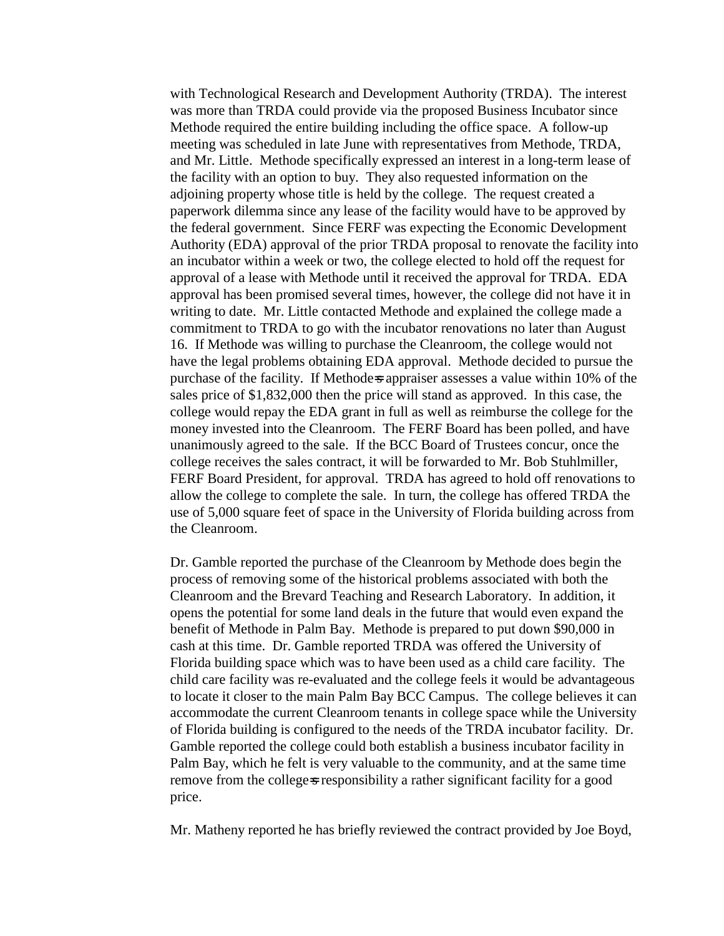with Technological Research and Development Authority (TRDA). The interest was more than TRDA could provide via the proposed Business Incubator since Methode required the entire building including the office space. A follow-up meeting was scheduled in late June with representatives from Methode, TRDA, and Mr. Little. Methode specifically expressed an interest in a long-term lease of the facility with an option to buy. They also requested information on the adjoining property whose title is held by the college. The request created a paperwork dilemma since any lease of the facility would have to be approved by the federal government. Since FERF was expecting the Economic Development Authority (EDA) approval of the prior TRDA proposal to renovate the facility into an incubator within a week or two, the college elected to hold off the request for approval of a lease with Methode until it received the approval for TRDA. EDA approval has been promised several times, however, the college did not have it in writing to date. Mr. Little contacted Methode and explained the college made a commitment to TRDA to go with the incubator renovations no later than August 16. If Methode was willing to purchase the Cleanroom, the college would not have the legal problems obtaining EDA approval. Methode decided to pursue the purchase of the facility. If Methode=s appraiser assesses a value within 10% of the sales price of \$1,832,000 then the price will stand as approved. In this case, the college would repay the EDA grant in full as well as reimburse the college for the money invested into the Cleanroom. The FERF Board has been polled, and have unanimously agreed to the sale. If the BCC Board of Trustees concur, once the college receives the sales contract, it will be forwarded to Mr. Bob Stuhlmiller, FERF Board President, for approval. TRDA has agreed to hold off renovations to allow the college to complete the sale. In turn, the college has offered TRDA the use of 5,000 square feet of space in the University of Florida building across from the Cleanroom.

Dr. Gamble reported the purchase of the Cleanroom by Methode does begin the process of removing some of the historical problems associated with both the Cleanroom and the Brevard Teaching and Research Laboratory. In addition, it opens the potential for some land deals in the future that would even expand the benefit of Methode in Palm Bay. Methode is prepared to put down \$90,000 in cash at this time. Dr. Gamble reported TRDA was offered the University of Florida building space which was to have been used as a child care facility. The child care facility was re-evaluated and the college feels it would be advantageous to locate it closer to the main Palm Bay BCC Campus. The college believes it can accommodate the current Cleanroom tenants in college space while the University of Florida building is configured to the needs of the TRDA incubator facility. Dr. Gamble reported the college could both establish a business incubator facility in Palm Bay, which he felt is very valuable to the community, and at the same time remove from the college-s responsibility a rather significant facility for a good price.

Mr. Matheny reported he has briefly reviewed the contract provided by Joe Boyd,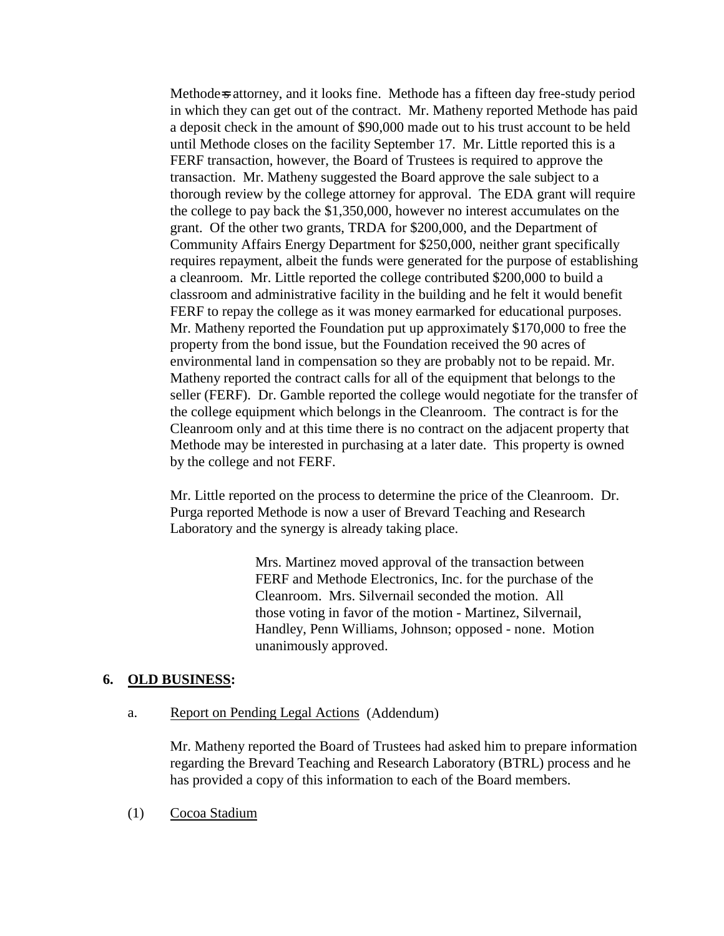Methode=s attorney, and it looks fine. Methode has a fifteen day free-study period in which they can get out of the contract. Mr. Matheny reported Methode has paid a deposit check in the amount of \$90,000 made out to his trust account to be held until Methode closes on the facility September 17. Mr. Little reported this is a FERF transaction, however, the Board of Trustees is required to approve the transaction. Mr. Matheny suggested the Board approve the sale subject to a thorough review by the college attorney for approval. The EDA grant will require the college to pay back the \$1,350,000, however no interest accumulates on the grant. Of the other two grants, TRDA for \$200,000, and the Department of Community Affairs Energy Department for \$250,000, neither grant specifically requires repayment, albeit the funds were generated for the purpose of establishing a cleanroom. Mr. Little reported the college contributed \$200,000 to build a classroom and administrative facility in the building and he felt it would benefit FERF to repay the college as it was money earmarked for educational purposes. Mr. Matheny reported the Foundation put up approximately \$170,000 to free the property from the bond issue, but the Foundation received the 90 acres of environmental land in compensation so they are probably not to be repaid. Mr. Matheny reported the contract calls for all of the equipment that belongs to the seller (FERF). Dr. Gamble reported the college would negotiate for the transfer of the college equipment which belongs in the Cleanroom. The contract is for the Cleanroom only and at this time there is no contract on the adjacent property that Methode may be interested in purchasing at a later date. This property is owned by the college and not FERF.

Mr. Little reported on the process to determine the price of the Cleanroom. Dr. Purga reported Methode is now a user of Brevard Teaching and Research Laboratory and the synergy is already taking place.

> Mrs. Martinez moved approval of the transaction between FERF and Methode Electronics, Inc. for the purchase of the Cleanroom. Mrs. Silvernail seconded the motion. All those voting in favor of the motion - Martinez, Silvernail, Handley, Penn Williams, Johnson; opposed - none. Motion unanimously approved.

### **6. OLD BUSINESS:**

### a. Report on Pending Legal Actions (Addendum)

Mr. Matheny reported the Board of Trustees had asked him to prepare information regarding the Brevard Teaching and Research Laboratory (BTRL) process and he has provided a copy of this information to each of the Board members.

(1) Cocoa Stadium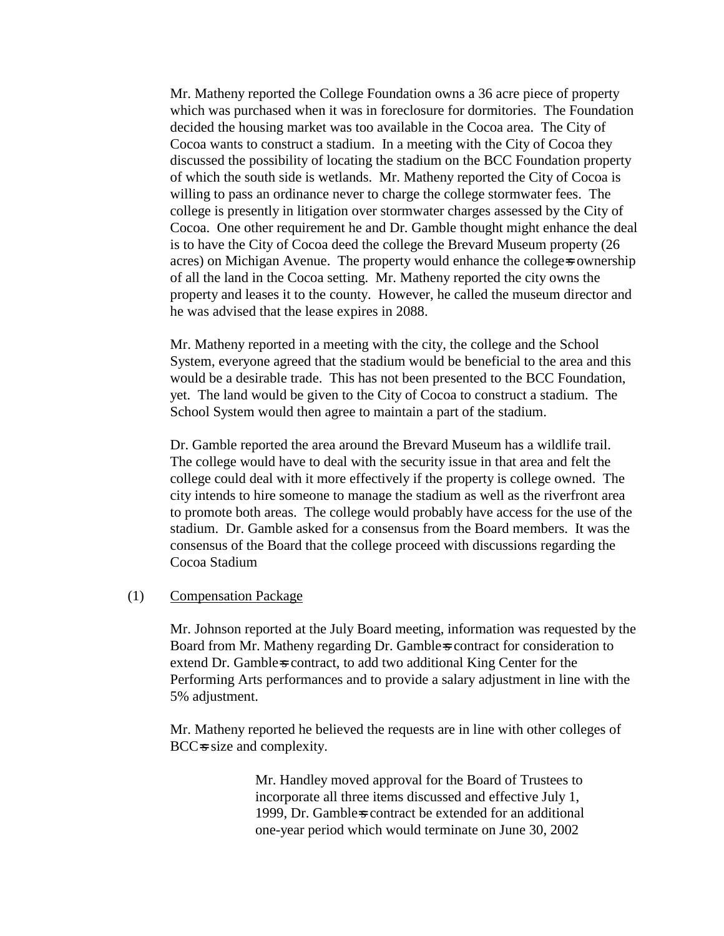Mr. Matheny reported the College Foundation owns a 36 acre piece of property which was purchased when it was in foreclosure for dormitories. The Foundation decided the housing market was too available in the Cocoa area. The City of Cocoa wants to construct a stadium. In a meeting with the City of Cocoa they discussed the possibility of locating the stadium on the BCC Foundation property of which the south side is wetlands. Mr. Matheny reported the City of Cocoa is willing to pass an ordinance never to charge the college stormwater fees. The college is presently in litigation over stormwater charges assessed by the City of Cocoa. One other requirement he and Dr. Gamble thought might enhance the deal is to have the City of Cocoa deed the college the Brevard Museum property (26 acres) on Michigan Avenue. The property would enhance the college-s ownership of all the land in the Cocoa setting. Mr. Matheny reported the city owns the property and leases it to the county. However, he called the museum director and he was advised that the lease expires in 2088.

Mr. Matheny reported in a meeting with the city, the college and the School System, everyone agreed that the stadium would be beneficial to the area and this would be a desirable trade. This has not been presented to the BCC Foundation, yet. The land would be given to the City of Cocoa to construct a stadium. The School System would then agree to maintain a part of the stadium.

Dr. Gamble reported the area around the Brevard Museum has a wildlife trail. The college would have to deal with the security issue in that area and felt the college could deal with it more effectively if the property is college owned. The city intends to hire someone to manage the stadium as well as the riverfront area to promote both areas. The college would probably have access for the use of the stadium. Dr. Gamble asked for a consensus from the Board members. It was the consensus of the Board that the college proceed with discussions regarding the Cocoa Stadium

#### (1) Compensation Package

Mr. Johnson reported at the July Board meeting, information was requested by the Board from Mr. Matheny regarding Dr. Gamble=s contract for consideration to extend Dr. Gamble-s contract, to add two additional King Center for the Performing Arts performances and to provide a salary adjustment in line with the 5% adjustment.

Mr. Matheny reported he believed the requests are in line with other colleges of BCC=s size and complexity.

> Mr. Handley moved approval for the Board of Trustees to incorporate all three items discussed and effective July 1, 1999, Dr. Gamble=s contract be extended for an additional one-year period which would terminate on June 30, 2002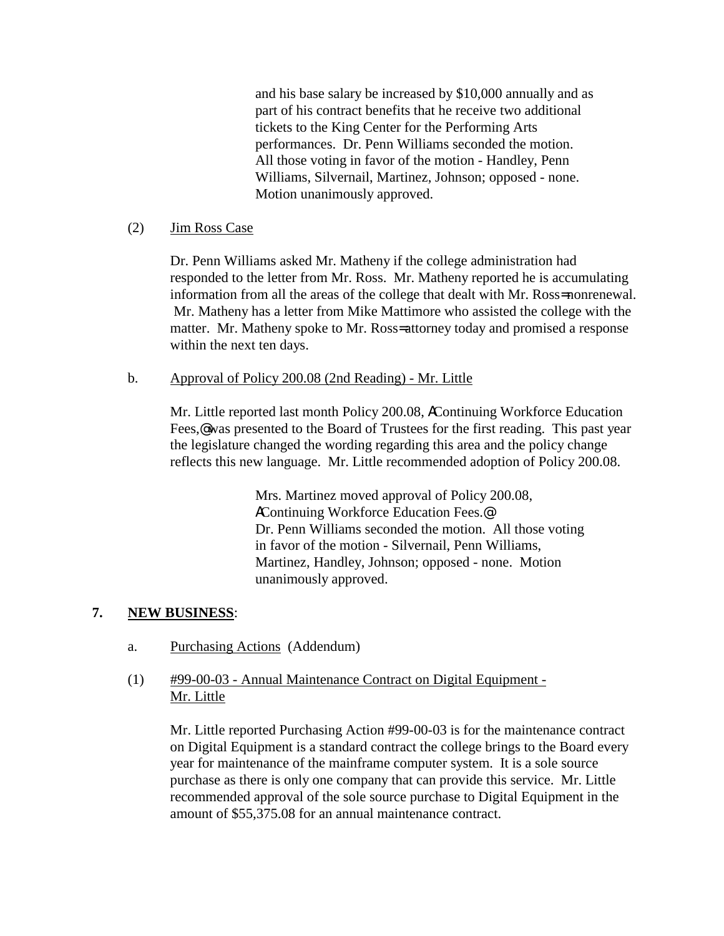and his base salary be increased by \$10,000 annually and as part of his contract benefits that he receive two additional tickets to the King Center for the Performing Arts performances. Dr. Penn Williams seconded the motion. All those voting in favor of the motion - Handley, Penn Williams, Silvernail, Martinez, Johnson; opposed - none. Motion unanimously approved.

## (2) Jim Ross Case

Dr. Penn Williams asked Mr. Matheny if the college administration had responded to the letter from Mr. Ross. Mr. Matheny reported he is accumulating information from all the areas of the college that dealt with Mr. Ross= nonrenewal. Mr. Matheny has a letter from Mike Mattimore who assisted the college with the matter. Mr. Matheny spoke to Mr. Ross= attorney today and promised a response within the next ten days.

### b. Approval of Policy 200.08 (2nd Reading) - Mr. Little

Mr. Little reported last month Policy 200.08, AContinuing Workforce Education Fees,<sup>®</sup> was presented to the Board of Trustees for the first reading. This past year the legislature changed the wording regarding this area and the policy change reflects this new language. Mr. Little recommended adoption of Policy 200.08.

> Mrs. Martinez moved approval of Policy 200.08, AContinuing Workforce Education Fees.@ Dr. Penn Williams seconded the motion. All those voting in favor of the motion - Silvernail, Penn Williams, Martinez, Handley, Johnson; opposed - none. Motion unanimously approved.

# **7. NEW BUSINESS**:

- a. Purchasing Actions (Addendum)
- (1) #99-00-03 Annual Maintenance Contract on Digital Equipment Mr. Little

Mr. Little reported Purchasing Action #99-00-03 is for the maintenance contract on Digital Equipment is a standard contract the college brings to the Board every year for maintenance of the mainframe computer system. It is a sole source purchase as there is only one company that can provide this service. Mr. Little recommended approval of the sole source purchase to Digital Equipment in the amount of \$55,375.08 for an annual maintenance contract.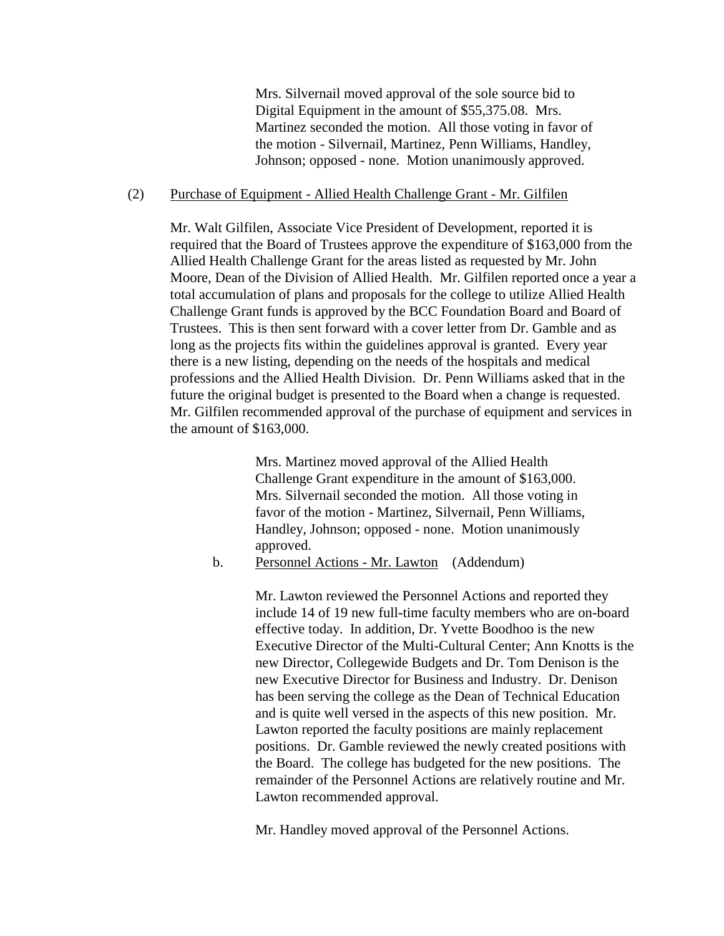Mrs. Silvernail moved approval of the sole source bid to Digital Equipment in the amount of \$55,375.08. Mrs. Martinez seconded the motion. All those voting in favor of the motion - Silvernail, Martinez, Penn Williams, Handley, Johnson; opposed - none. Motion unanimously approved.

#### (2) Purchase of Equipment - Allied Health Challenge Grant - Mr. Gilfilen

Mr. Walt Gilfilen, Associate Vice President of Development, reported it is required that the Board of Trustees approve the expenditure of \$163,000 from the Allied Health Challenge Grant for the areas listed as requested by Mr. John Moore, Dean of the Division of Allied Health. Mr. Gilfilen reported once a year a total accumulation of plans and proposals for the college to utilize Allied Health Challenge Grant funds is approved by the BCC Foundation Board and Board of Trustees. This is then sent forward with a cover letter from Dr. Gamble and as long as the projects fits within the guidelines approval is granted. Every year there is a new listing, depending on the needs of the hospitals and medical professions and the Allied Health Division. Dr. Penn Williams asked that in the future the original budget is presented to the Board when a change is requested. Mr. Gilfilen recommended approval of the purchase of equipment and services in the amount of \$163,000.

> Mrs. Martinez moved approval of the Allied Health Challenge Grant expenditure in the amount of \$163,000. Mrs. Silvernail seconded the motion. All those voting in favor of the motion - Martinez, Silvernail, Penn Williams, Handley, Johnson; opposed - none. Motion unanimously approved.

b. Personnel Actions - Mr. Lawton (Addendum)

Mr. Lawton reviewed the Personnel Actions and reported they include 14 of 19 new full-time faculty members who are on-board effective today. In addition, Dr. Yvette Boodhoo is the new Executive Director of the Multi-Cultural Center; Ann Knotts is the new Director, Collegewide Budgets and Dr. Tom Denison is the new Executive Director for Business and Industry. Dr. Denison has been serving the college as the Dean of Technical Education and is quite well versed in the aspects of this new position. Mr. Lawton reported the faculty positions are mainly replacement positions. Dr. Gamble reviewed the newly created positions with the Board. The college has budgeted for the new positions. The remainder of the Personnel Actions are relatively routine and Mr. Lawton recommended approval.

Mr. Handley moved approval of the Personnel Actions.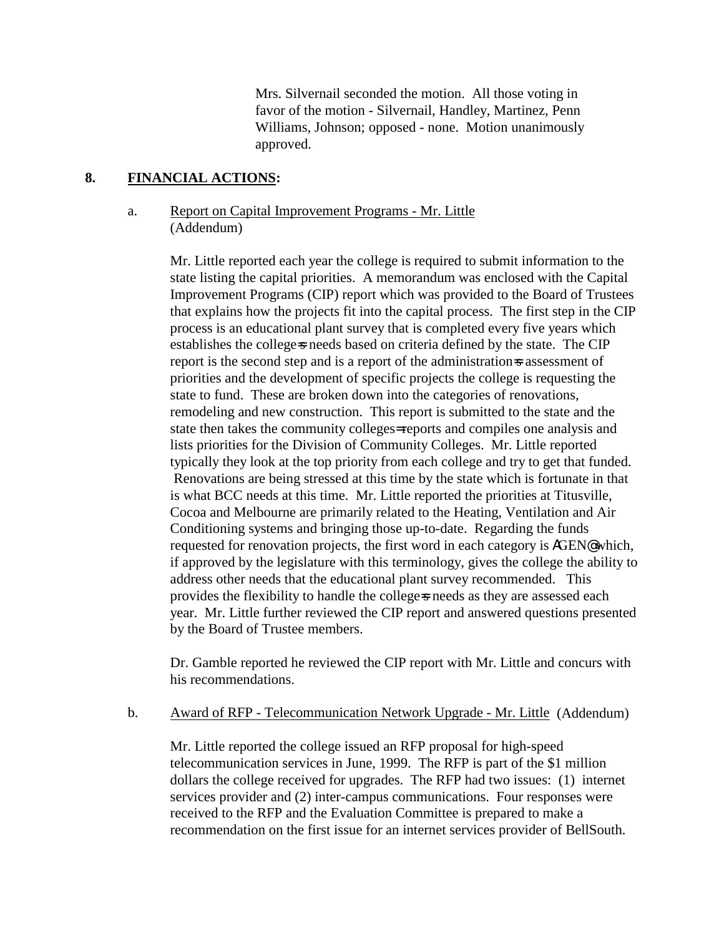Mrs. Silvernail seconded the motion. All those voting in favor of the motion - Silvernail, Handley, Martinez, Penn Williams, Johnson; opposed - none. Motion unanimously approved.

# **8. FINANCIAL ACTIONS:**

# a. Report on Capital Improvement Programs - Mr. Little (Addendum)

Mr. Little reported each year the college is required to submit information to the state listing the capital priorities. A memorandum was enclosed with the Capital Improvement Programs (CIP) report which was provided to the Board of Trustees that explains how the projects fit into the capital process. The first step in the CIP process is an educational plant survey that is completed every five years which establishes the college-s needs based on criteria defined by the state. The CIP report is the second step and is a report of the administration=s assessment of priorities and the development of specific projects the college is requesting the state to fund. These are broken down into the categories of renovations, remodeling and new construction. This report is submitted to the state and the state then takes the community colleges= reports and compiles one analysis and lists priorities for the Division of Community Colleges. Mr. Little reported typically they look at the top priority from each college and try to get that funded. Renovations are being stressed at this time by the state which is fortunate in that is what BCC needs at this time. Mr. Little reported the priorities at Titusville, Cocoa and Melbourne are primarily related to the Heating, Ventilation and Air Conditioning systems and bringing those up-to-date. Regarding the funds requested for renovation projects, the first word in each category is AGEN@ which, if approved by the legislature with this terminology, gives the college the ability to address other needs that the educational plant survey recommended. This provides the flexibility to handle the college=s needs as they are assessed each year. Mr. Little further reviewed the CIP report and answered questions presented by the Board of Trustee members.

Dr. Gamble reported he reviewed the CIP report with Mr. Little and concurs with his recommendations.

### b. Award of RFP - Telecommunication Network Upgrade - Mr. Little (Addendum)

Mr. Little reported the college issued an RFP proposal for high-speed telecommunication services in June, 1999. The RFP is part of the \$1 million dollars the college received for upgrades. The RFP had two issues: (1) internet services provider and (2) inter-campus communications. Four responses were received to the RFP and the Evaluation Committee is prepared to make a recommendation on the first issue for an internet services provider of BellSouth.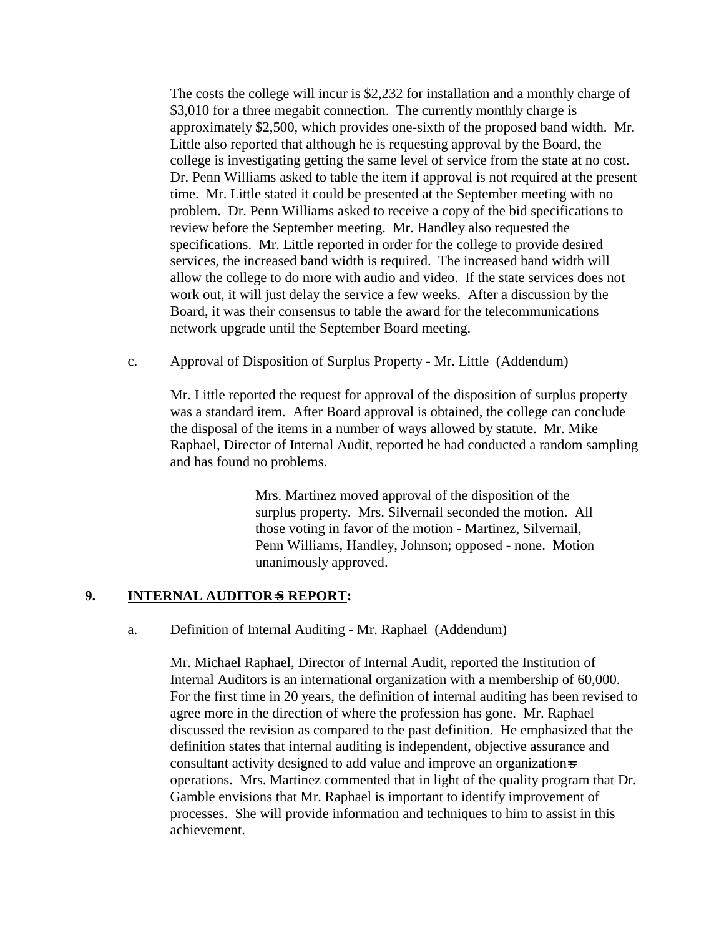The costs the college will incur is \$2,232 for installation and a monthly charge of \$3,010 for a three megabit connection. The currently monthly charge is approximately \$2,500, which provides one-sixth of the proposed band width. Mr. Little also reported that although he is requesting approval by the Board, the college is investigating getting the same level of service from the state at no cost. Dr. Penn Williams asked to table the item if approval is not required at the present time. Mr. Little stated it could be presented at the September meeting with no problem. Dr. Penn Williams asked to receive a copy of the bid specifications to review before the September meeting. Mr. Handley also requested the specifications. Mr. Little reported in order for the college to provide desired services, the increased band width is required. The increased band width will allow the college to do more with audio and video. If the state services does not work out, it will just delay the service a few weeks. After a discussion by the Board, it was their consensus to table the award for the telecommunications network upgrade until the September Board meeting.

## c. Approval of Disposition of Surplus Property - Mr. Little (Addendum)

Mr. Little reported the request for approval of the disposition of surplus property was a standard item. After Board approval is obtained, the college can conclude the disposal of the items in a number of ways allowed by statute. Mr. Mike Raphael, Director of Internal Audit, reported he had conducted a random sampling and has found no problems.

> Mrs. Martinez moved approval of the disposition of the surplus property. Mrs. Silvernail seconded the motion. All those voting in favor of the motion - Martinez, Silvernail, Penn Williams, Handley, Johnson; opposed - none. Motion unanimously approved.

### **9.** INTERNAL AUDITOR<del>S</del> REPORT:

### a. Definition of Internal Auditing - Mr. Raphael (Addendum)

Mr. Michael Raphael, Director of Internal Audit, reported the Institution of Internal Auditors is an international organization with a membership of 60,000. For the first time in 20 years, the definition of internal auditing has been revised to agree more in the direction of where the profession has gone. Mr. Raphael discussed the revision as compared to the past definition. He emphasized that the definition states that internal auditing is independent, objective assurance and consultant activity designed to add value and improve an organization=s operations. Mrs. Martinez commented that in light of the quality program that Dr. Gamble envisions that Mr. Raphael is important to identify improvement of processes. She will provide information and techniques to him to assist in this achievement.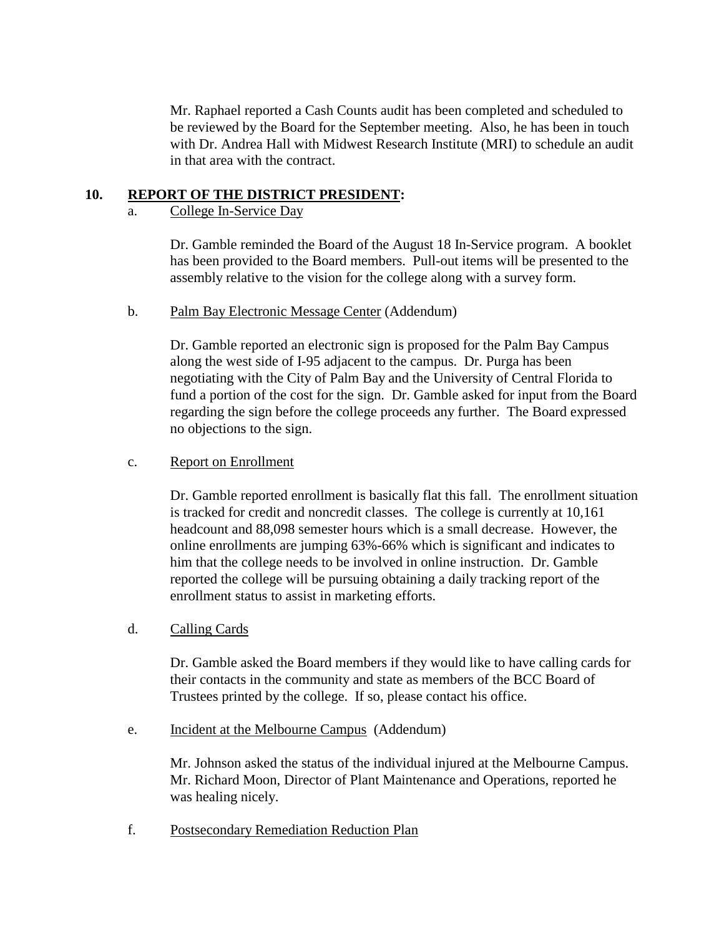Mr. Raphael reported a Cash Counts audit has been completed and scheduled to be reviewed by the Board for the September meeting. Also, he has been in touch with Dr. Andrea Hall with Midwest Research Institute (MRI) to schedule an audit in that area with the contract.

# **10. REPORT OF THE DISTRICT PRESIDENT:**

# a. College In-Service Day

Dr. Gamble reminded the Board of the August 18 In-Service program. A booklet has been provided to the Board members. Pull-out items will be presented to the assembly relative to the vision for the college along with a survey form.

### b. Palm Bay Electronic Message Center (Addendum)

Dr. Gamble reported an electronic sign is proposed for the Palm Bay Campus along the west side of I-95 adjacent to the campus. Dr. Purga has been negotiating with the City of Palm Bay and the University of Central Florida to fund a portion of the cost for the sign. Dr. Gamble asked for input from the Board regarding the sign before the college proceeds any further. The Board expressed no objections to the sign.

# c. Report on Enrollment

Dr. Gamble reported enrollment is basically flat this fall. The enrollment situation is tracked for credit and noncredit classes. The college is currently at 10,161 headcount and 88,098 semester hours which is a small decrease. However, the online enrollments are jumping 63%-66% which is significant and indicates to him that the college needs to be involved in online instruction. Dr. Gamble reported the college will be pursuing obtaining a daily tracking report of the enrollment status to assist in marketing efforts.

### d. Calling Cards

Dr. Gamble asked the Board members if they would like to have calling cards for their contacts in the community and state as members of the BCC Board of Trustees printed by the college. If so, please contact his office.

e. Incident at the Melbourne Campus (Addendum)

Mr. Johnson asked the status of the individual injured at the Melbourne Campus. Mr. Richard Moon, Director of Plant Maintenance and Operations, reported he was healing nicely.

f. Postsecondary Remediation Reduction Plan